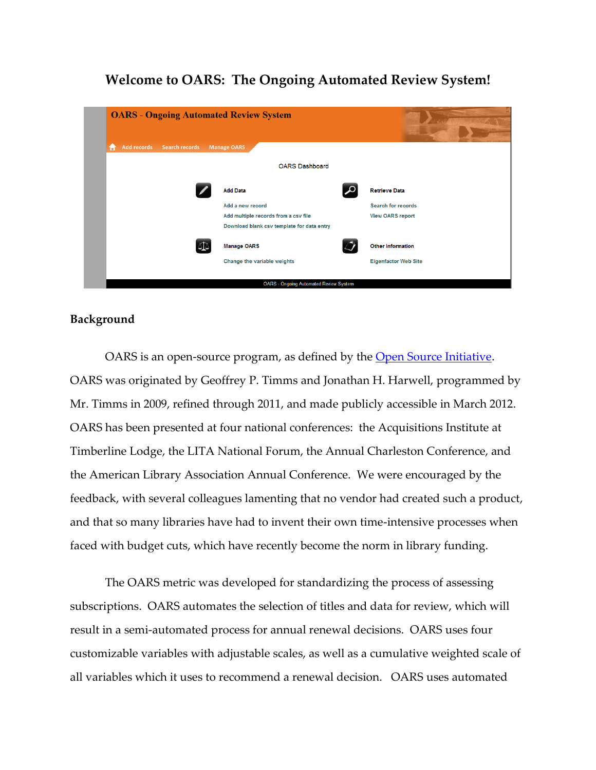

# **Welcome to OARS: The Ongoing Automated Review System!**

## **Background**

OARS is an open-source program, as defined by the **Open Source Initiative**. OARS was originated by Geoffrey P. Timms and Jonathan H. Harwell, programmed by Mr. Timms in 2009, refined through 2011, and made publicly accessible in March 2012. OARS has been presented at four national conferences: the Acquisitions Institute at Timberline Lodge, the LITA National Forum, the Annual Charleston Conference, and the American Library Association Annual Conference. We were encouraged by the feedback, with several colleagues lamenting that no vendor had created such a product, and that so many libraries have had to invent their own time-intensive processes when faced with budget cuts, which have recently become the norm in library funding.

The OARS metric was developed for standardizing the process of assessing subscriptions. OARS automates the selection of titles and data for review, which will result in a semi-automated process for annual renewal decisions. OARS uses four customizable variables with adjustable scales, as well as a cumulative weighted scale of all variables which it uses to recommend a renewal decision. OARS uses automated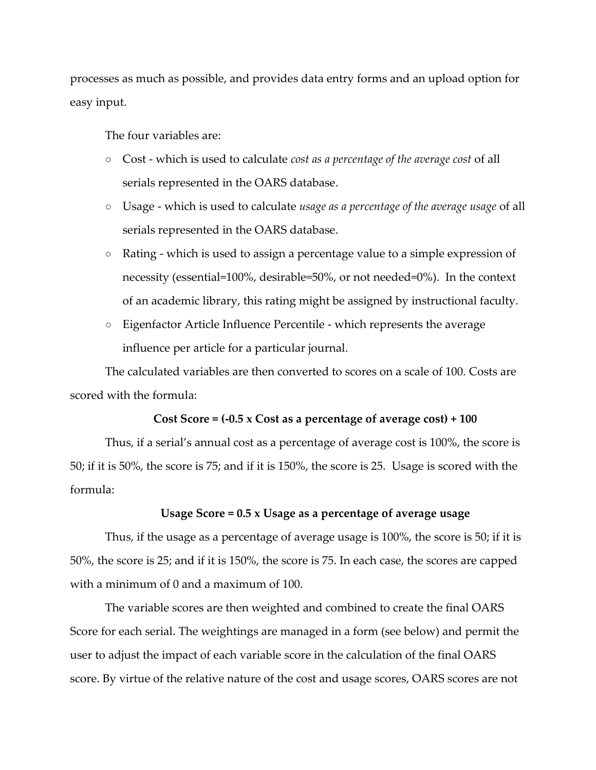processes as much as possible, and provides data entry forms and an upload option for easy input.

The four variables are:

- Cost which is used to calculate *cost as a percentage of the average cost* of all serials represented in the OARS database.
- Usage which is used to calculate *usage as a percentage of the average usage* of all serials represented in the OARS database.
- Rating which is used to assign a percentage value to a simple expression of necessity (essential=100%, desirable=50%, or not needed=0%). In the context of an academic library, this rating might be assigned by instructional faculty.
- Eigenfactor Article Influence Percentile which represents the average influence per article for a particular journal.

The calculated variables are then converted to scores on a scale of 100. Costs are scored with the formula:

#### **Cost Score = (-0.5 x Cost as a percentage of average cost) + 100**

Thus, if a serial's annual cost as a percentage of average cost is 100%, the score is 50; if it is 50%, the score is 75; and if it is 150%, the score is 25. Usage is scored with the formula:

#### **Usage Score = 0.5 x Usage as a percentage of average usage**

Thus, if the usage as a percentage of average usage is 100%, the score is 50; if it is 50%, the score is 25; and if it is 150%, the score is 75. In each case, the scores are capped with a minimum of 0 and a maximum of 100.

The variable scores are then weighted and combined to create the final OARS Score for each serial. The weightings are managed in a form (see below) and permit the user to adjust the impact of each variable score in the calculation of the final OARS score. By virtue of the relative nature of the cost and usage scores, OARS scores are not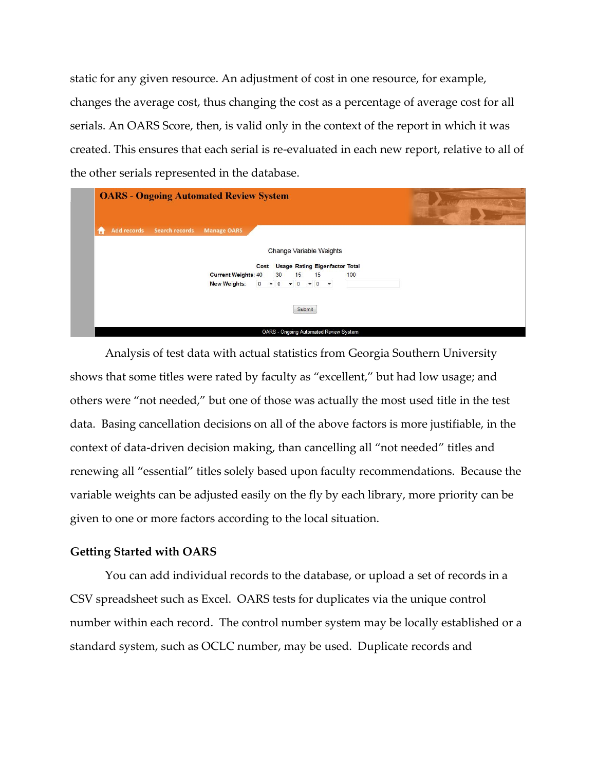static for any given resource. An adjustment of cost in one resource, for example, changes the average cost, thus changing the cost as a percentage of average cost for all serials. An OARS Score, then, is valid only in the context of the report in which it was created. This ensures that each serial is re-evaluated in each new report, relative to all of the other serials represented in the database.

| <b>OARS - Ongoing Automated Review System</b> |                            |                            |  |  |    |                                       |        |    |                                     |     |  |  |
|-----------------------------------------------|----------------------------|----------------------------|--|--|----|---------------------------------------|--------|----|-------------------------------------|-----|--|--|
| Ħ                                             | Add records Search records | <b>Manage OARS</b>         |  |  |    |                                       |        |    |                                     |     |  |  |
|                                               |                            |                            |  |  |    |                                       |        |    | Change Variable Weights             |     |  |  |
|                                               |                            |                            |  |  |    |                                       |        |    | Cost Usage Rating Eigenfactor Total |     |  |  |
|                                               |                            | <b>Current Weights: 40</b> |  |  | 30 | 15                                    |        | 15 |                                     | 100 |  |  |
|                                               |                            | <b>New Weights:</b>        |  |  |    | $0 \times 0 \times 0 \times 0 \times$ |        |    |                                     |     |  |  |
|                                               |                            |                            |  |  |    |                                       | Submit |    |                                     |     |  |  |

Analysis of test data with actual statistics from Georgia Southern University shows that some titles were rated by faculty as "excellent," but had low usage; and others were "not needed," but one of those was actually the most used title in the test data. Basing cancellation decisions on all of the above factors is more justifiable, in the context of data-driven decision making, than cancelling all "not needed" titles and renewing all "essential" titles solely based upon faculty recommendations. Because the variable weights can be adjusted easily on the fly by each library, more priority can be given to one or more factors according to the local situation.

### **Getting Started with OARS**

You can add individual records to the database, or upload a set of records in a CSV spreadsheet such as Excel. OARS tests for duplicates via the unique control number within each record. The control number system may be locally established or a standard system, such as OCLC number, may be used. Duplicate records and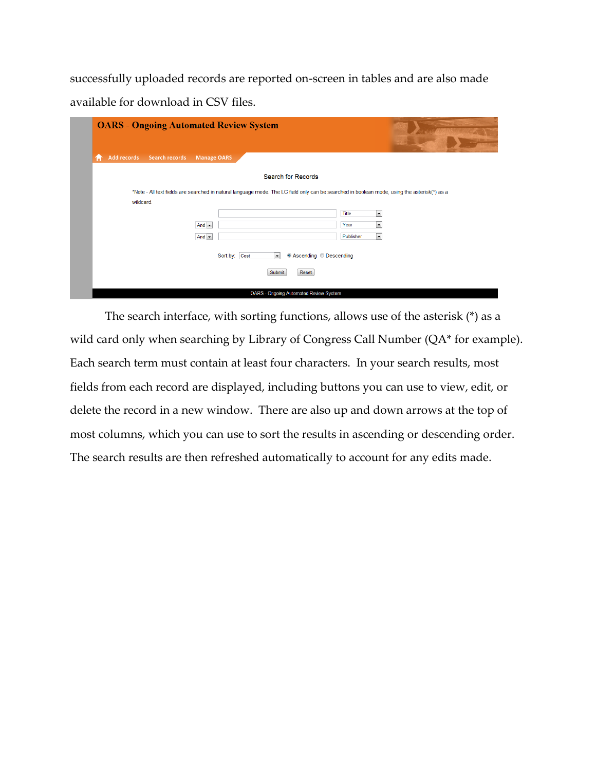successfully uploaded records are reported on-screen in tables and are also made available for download in CSV files.

| <b>OARS - Ongoing Automated Review System</b> |                                      |                                                                                                                                              |
|-----------------------------------------------|--------------------------------------|----------------------------------------------------------------------------------------------------------------------------------------------|
| Add records<br>Search records<br>A            | <b>Manage OARS</b>                   |                                                                                                                                              |
|                                               |                                      | <b>Search for Records</b>                                                                                                                    |
| wildcard.                                     |                                      | *Note - All text fields are searched in natural language mode. The LC field only can be searched in boolean mode, using the asterisk(*) as a |
|                                               | And $\blacktriangledown$             | Title<br>×<br>$\overline{\phantom{a}}$<br>Year                                                                                               |
|                                               | And $\boxed{\bullet}$                | $\overline{\phantom{a}}$<br>Publisher                                                                                                        |
|                                               | Sort by: Cost<br>$\vert \cdot \vert$ | ● Ascending © Descending                                                                                                                     |
|                                               | Submit                               | Reset                                                                                                                                        |
|                                               |                                      | <b>OARS - Ongoing Automated Review System</b>                                                                                                |

The search interface, with sorting functions, allows use of the asterisk (\*) as a wild card only when searching by Library of Congress Call Number (QA\* for example). Each search term must contain at least four characters. In your search results, most fields from each record are displayed, including buttons you can use to view, edit, or delete the record in a new window. There are also up and down arrows at the top of most columns, which you can use to sort the results in ascending or descending order. The search results are then refreshed automatically to account for any edits made.